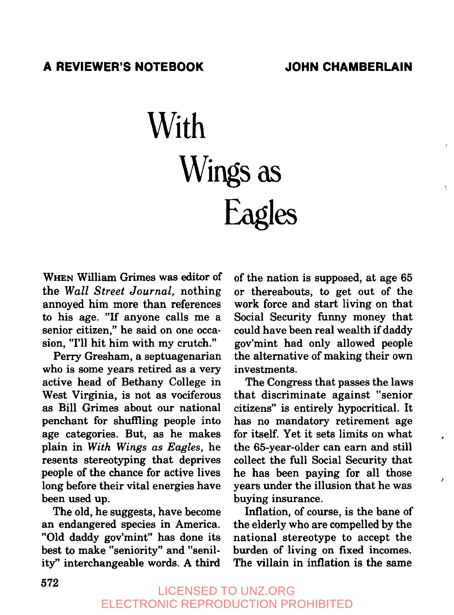# **With Wings as Eagles**

WHEN William Grimes was editor of the *Wall Street Journal,* nothing annoyed him more than references to his age. "If anyone calls me a senior citizen," he said on one occasion, "I'll hit him with my crutch."

Perry Gresham, a septuagenarian who is some years retired as a very active head of Bethany College in West Virginia, is not as vociferous as Bill Grimes about our national penchant for shuffling people into age categories. But, as he makes plain in *With Wings as Eagles,* he resents stereotyping that deprives people of the chance for active lives long before their vital energies have been used up.

The old, he suggests, have become an endangered species in America. "Old daddy gov'mint" has done its best to make "seniority" and "senility" interchangeable words. A third

of the nation is supposed, at age 65 or thereabouts, to get out of the work force and start living on that Social Security funny money that could have been real wealth if daddy gov'mint had only allowed people the alternative of making their own investments.

The Congress that passes the laws that discriminate against "senior citizens" is entirely hypocritical. It has no mandatory retirement age for itself. Yet it sets limits on what the 65-year-older can earn and still collect the full Social Security that he has been paying for all those years under the illusion that he was buying insurance.

Inflation, of course, is the bane of the elderly who are compelled by the national stereotype to accept the burden of living on fixed incomes. The villain in inflation is the same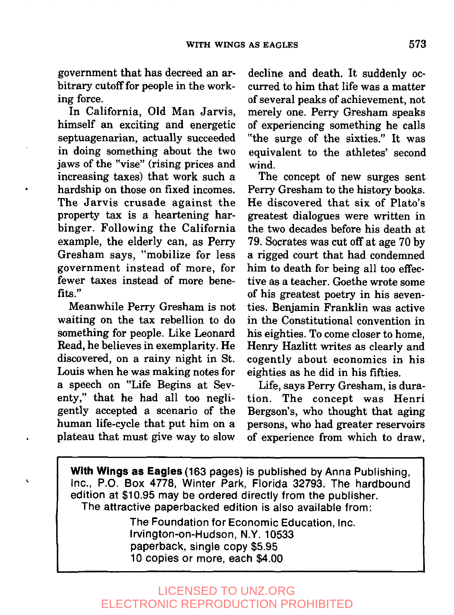government that has decreed an arbitrary cutoff for people in the working force.

In California, Old Man Jarvis, himself an exciting and energetic septuagenarian, actually succeeded in doing something about the two jaws of the "vise" (rising prices and increasing taxes) that work such hardship on those on fixed incomes. The Jarvis crusade against the property tax is a heartening harbinger. Following the California example, the elderly can, as Perry Gresham says, "mobilize for less government instead of more, for fewer taxes instead of more benefits."

Meanwhile Perry Gresham is not waiting on the tax rebellion to do something for people. Like Leonard Read, he believes in exemplarity. He discovered, on a rainy night in St. Louis when he was making notes for a speech on "Life Begins at Seventy," that he had all too negligently accepted a scenario of the human life-cycle that put him on a plateau that must give way to slow

4

decline and death. It suddenly occurred to him that life was a matter of several peaks of achievement, not merely one. Perry Gresham speaks of experiencing something he calls "the surge of the sixties." It was equivalent to the athletes' second wind.

The concept of new surges sent Perry Gresham to the history books. He discovered that six of Plato's greatest dialogues were written in the two decades before his death at 79. Socrates was cut off at age 70 by a rigged court that had condemned him to death for being all too effective as a teacher. Goethe wrote some of his greatest poetry in his seventies. Benjamin Franklin was active in the Constitutional convention in his eighties. To come closer to home, Henry Hazlitt writes as clearly and cogently about economics in his eighties as he did in his fifties.

Life, says Perry Gresham, is duration. The concept was Henri Bergson's, who thought that aging persons, who had greater reservoirs of experience from which to draw,

**With Wings as Eagles (163 pages) is published by** Anna Publishing, Inc., P.O. Box 4778, Winter Park, Florida 32793. The hardbound edition at \$10.95 may be ordered directly from the publisher. The attractive paperbacked edition is also available from:

> The Foundation for Economic Education, Inc. Irvington-on-Hudson, N.Y. 10533 paperback, single copy \$5.95 10 copies or more, each \$4.00

## LICENSED TO UNZ.ORG ELECTRONIC REPRODUCTION PROHIBITED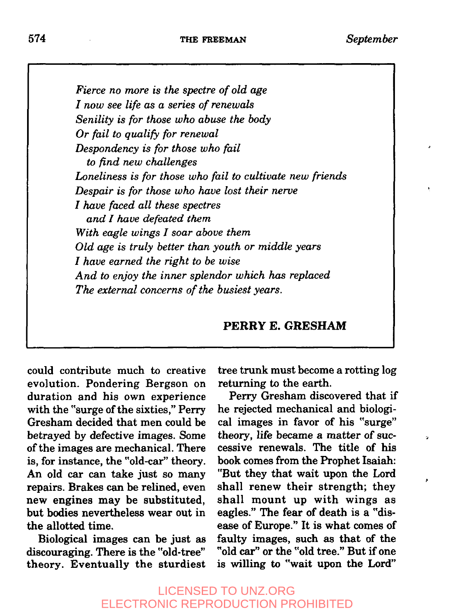*Fierce no more is the spectre of old age I now see life as a series of renewals Senility is for those who abuse the body Or fail to qualify for renewal Despondency is for those who fail to find new challenges Loneliness is for those who fail to cultivate new friends Despair is for those who have lost their nerve I have faced all these spectres and I have defeated them With eagle wings I soar above them Old age is truly better than youth or middle years I have earned the right to be wise And to enjoy the inner splendor which has replaced The external concerns of the busiest years.*

### **PERRYE. GRESHAM**

could contribute much to creative evolution. Pondering Bergson on duration and his own experience with the "surge of the sixties," Perry Gresham decided that men could be betrayed by defective images. Some of the images are mechanical. There is, for instance, the "old-car" theory. An old car can take just so many repairs. Brakes can be relined, even new engines may be substituted, but bodies nevertheless wear out in the allotted time.

Biological images can be just as discouraging. There is the "old-tree" theory. Eventually the sturdiest tree trunk must become a rotting log returning to the earth.

Perry Gresham discovered that if he rejected mechanical and biological images in favor of his "surge" theory, life became a matter of successive renewals. The title of his book comes from the Prophet Isaiah: "But they that wait upon the Lord shall renew their strength; they shall mount up with wings as eagles." The fear of death is a "disease of Europe." It is what comes of faulty images, such as that of the "old car" or the "old tree." But if one is willing to "wait upon the Lord"

ż,

# LICENSED TO UNZ.ORG ELECTRONIC REPRODUCTION PROHIBITED